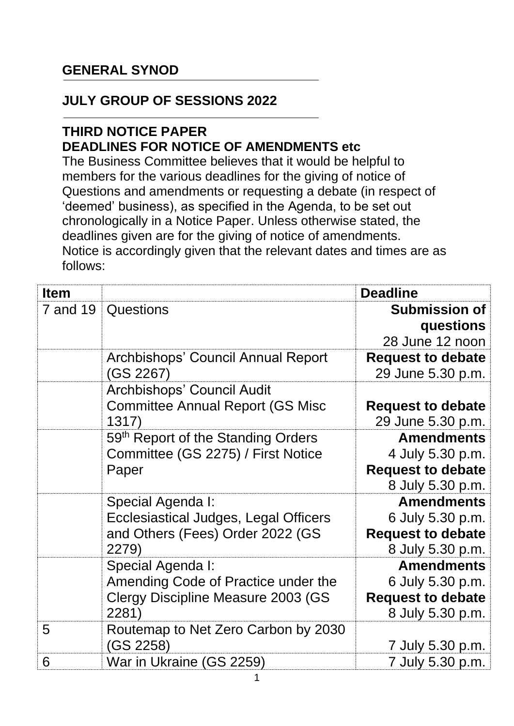## **GENERAL SYNOD**

## **JULY GROUP OF SESSIONS 2022**

## **THIRD NOTICE PAPER DEADLINES FOR NOTICE OF AMENDMENTS etc**

The Business Committee believes that it would be helpful to members for the various deadlines for the giving of notice of Questions and amendments or requesting a debate (in respect of 'deemed' business), as specified in the Agenda, to be set out chronologically in a Notice Paper. Unless otherwise stated, the deadlines given are for the giving of notice of amendments. Notice is accordingly given that the relevant dates and times are as follows:

| <b>Item</b> |                                                  | <b>Deadline</b>                               |
|-------------|--------------------------------------------------|-----------------------------------------------|
| 7 and 19    | <b>Questions</b>                                 | <b>Submission of</b><br>questions             |
|             |                                                  | 28 June 12 noon                               |
|             | Archbishops' Council Annual Report<br>(GS 2267)  | <b>Request to debate</b><br>29 June 5.30 p.m. |
|             | Archbishops' Council Audit                       |                                               |
|             | <b>Committee Annual Report (GS Misc</b><br>1317) | <b>Request to debate</b><br>29 June 5.30 p.m. |
|             | 59th Report of the Standing Orders               | <b>Amendments</b>                             |
|             | Committee (GS 2275) / First Notice               | 4 July 5.30 p.m.                              |
|             | Paper                                            | <b>Request to debate</b>                      |
|             |                                                  | 8 July 5.30 p.m.                              |
|             | Special Agenda I:                                | <b>Amendments</b>                             |
|             | Ecclesiastical Judges, Legal Officers            | 6 July 5.30 p.m.                              |
|             | and Others (Fees) Order 2022 (GS                 | <b>Request to debate</b>                      |
|             | 2279)                                            | 8 July 5.30 p.m.                              |
|             | Special Agenda I:                                | <b>Amendments</b>                             |
|             | Amending Code of Practice under the              | 6 July 5.30 p.m.                              |
|             | Clergy Discipline Measure 2003 (GS               | <b>Request to debate</b>                      |
|             | 2281)                                            | 8 July 5.30 p.m.                              |
| 5           | Routemap to Net Zero Carbon by 2030<br>(GS 2258) | 7 July 5.30 p.m.                              |
| 6           | War in Ukraine (GS 2259)                         | 7 July 5.30 p.m.                              |
|             |                                                  |                                               |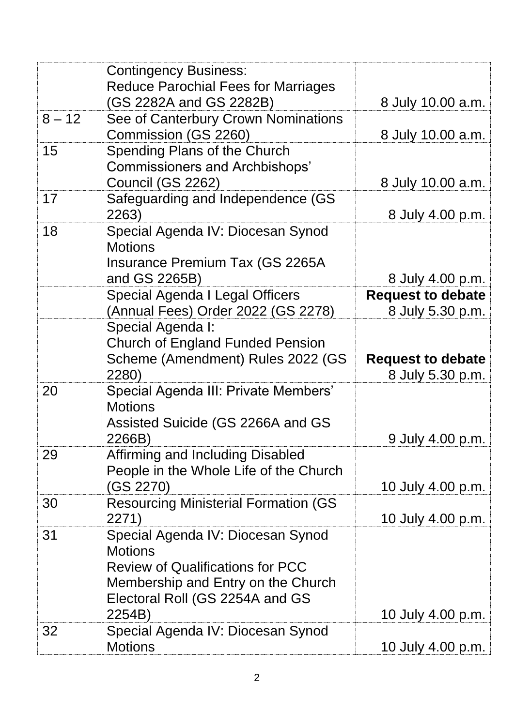|          | <b>Contingency Business:</b><br><b>Reduce Parochial Fees for Marriages</b><br>(GS 2282A and GS 2282B)                                                                             | 8 July 10.00 a.m.                            |
|----------|-----------------------------------------------------------------------------------------------------------------------------------------------------------------------------------|----------------------------------------------|
|          |                                                                                                                                                                                   |                                              |
| $8 - 12$ | See of Canterbury Crown Nominations<br>Commission (GS 2260)                                                                                                                       | 8 July 10.00 a.m.                            |
| 15       | Spending Plans of the Church<br><b>Commissioners and Archbishops'</b><br>Council (GS 2262)                                                                                        | 8 July 10.00 a.m.                            |
| 17       | Safeguarding and Independence (GS<br>2263)                                                                                                                                        | 8 July 4.00 p.m.                             |
| 18       | Special Agenda IV: Diocesan Synod<br><b>Motions</b><br><b>Insurance Premium Tax (GS 2265A</b><br>and GS 2265B)                                                                    | 8 July 4.00 p.m.                             |
|          | Special Agenda I Legal Officers                                                                                                                                                   | <b>Request to debate</b>                     |
|          |                                                                                                                                                                                   |                                              |
|          | (Annual Fees) Order 2022 (GS 2278)                                                                                                                                                | 8 July 5.30 p.m.                             |
|          | Special Agenda I:<br><b>Church of England Funded Pension</b><br>Scheme (Amendment) Rules 2022 (GS<br>2280)                                                                        | <b>Request to debate</b><br>8 July 5.30 p.m. |
| 20       | Special Agenda III: Private Members'<br><b>Motions</b><br>Assisted Suicide (GS 2266A and GS<br>2266B)                                                                             | 9 July 4.00 p.m.                             |
| 29       | Affirming and Including Disabled<br>People in the Whole Life of the Church<br>(GS 2270)                                                                                           | 10 July 4.00 p.m.                            |
| 30       | <b>Resourcing Ministerial Formation (GS)</b><br>2271)                                                                                                                             | 10 July 4.00 p.m.                            |
| 31       | Special Agenda IV: Diocesan Synod<br><b>Motions</b><br><b>Review of Qualifications for PCC</b><br>Membership and Entry on the Church<br>Electoral Roll (GS 2254A and GS<br>2254B) | 10 July 4.00 p.m.                            |
| 32       | Special Agenda IV: Diocesan Synod<br><b>Motions</b>                                                                                                                               | 10 July 4.00 p.m.                            |